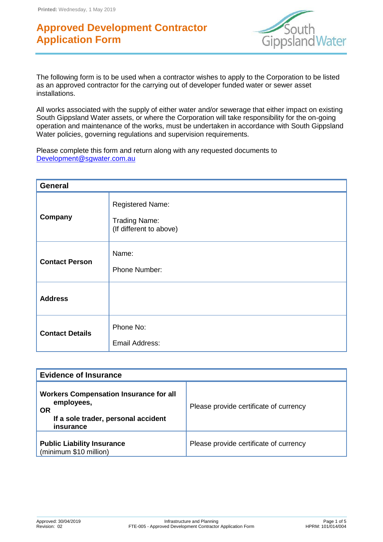

The following form is to be used when a contractor wishes to apply to the Corporation to be listed as an approved contractor for the carrying out of developer funded water or sewer asset installations.

All works associated with the supply of either water and/or sewerage that either impact on existing South Gippsland Water assets, or where the Corporation will take responsibility for the on-going operation and maintenance of the works, must be undertaken in accordance with South Gippsland Water policies, governing regulations and supervision requirements.

Please complete this form and return along with any requested documents to [Development@sgwater.com.au](mailto:Development@sgwater.com.au)

| <b>General</b>         |                                                                            |  |
|------------------------|----------------------------------------------------------------------------|--|
| Company                | <b>Registered Name:</b><br><b>Trading Name:</b><br>(If different to above) |  |
| <b>Contact Person</b>  | Name:<br>Phone Number:                                                     |  |
| <b>Address</b>         |                                                                            |  |
| <b>Contact Details</b> | Phone No:<br>Email Address:                                                |  |

| <b>Evidence of Insurance</b>                                                                                                 |                                        |  |
|------------------------------------------------------------------------------------------------------------------------------|----------------------------------------|--|
| <b>Workers Compensation Insurance for all</b><br>employees,<br><b>OR</b><br>If a sole trader, personal accident<br>insurance | Please provide certificate of currency |  |
| <b>Public Liability Insurance</b><br>(minimum \$10 million)                                                                  | Please provide certificate of currency |  |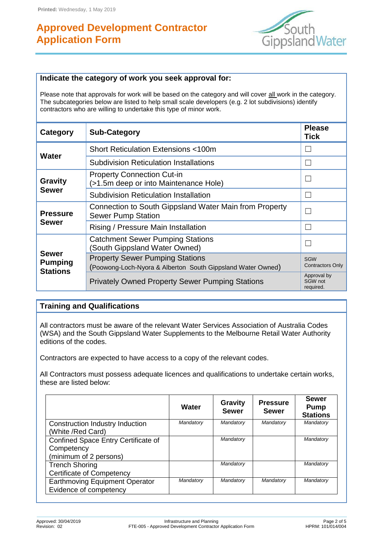

#### **Indicate the category of work you seek approval for:**

Please note that approvals for work will be based on the category and will cover all work in the category. The subcategories below are listed to help small scale developers (e.g. 2 lot subdivisions) identify contractors who are willing to undertake this type of minor work.

| Category                                   | <b>Sub-Category</b>                                                                                   | <b>Please</b><br>Tick               |
|--------------------------------------------|-------------------------------------------------------------------------------------------------------|-------------------------------------|
|                                            | <b>Short Reticulation Extensions &lt;100m</b>                                                         |                                     |
| Water                                      | <b>Subdivision Reticulation Installations</b>                                                         | L.                                  |
| <b>Gravity</b>                             | <b>Property Connection Cut-in</b><br>(>1.5m deep or into Maintenance Hole)                            |                                     |
| Sewer                                      | <b>Subdivision Reticulation Installation</b>                                                          | L.                                  |
| <b>Pressure</b><br><b>Sewer</b>            | Connection to South Gippsland Water Main from Property<br><b>Sewer Pump Station</b>                   |                                     |
|                                            | Rising / Pressure Main Installation                                                                   | L.                                  |
|                                            | <b>Catchment Sewer Pumping Stations</b><br>(South Gippsland Water Owned)                              |                                     |
| Sewer<br><b>Pumping</b><br><b>Stations</b> | <b>Property Sewer Pumping Stations</b><br>(Poowong-Loch-Nyora & Alberton South Gippsland Water Owned) | SGW<br><b>Contractors Only</b>      |
|                                            | <b>Privately Owned Property Sewer Pumping Stations</b>                                                | Approval by<br>SGW not<br>required. |

### **Training and Qualifications**

All contractors must be aware of the relevant Water Services Association of Australia Codes (WSA) and the South Gippsland Water Supplements to the Melbourne Retail Water Authority editions of the codes.

Contractors are expected to have access to a copy of the relevant codes.

All Contractors must possess adequate licences and qualifications to undertake certain works, these are listed below:

|                                                                             | Water     | <b>Gravity</b><br><b>Sewer</b> | <b>Pressure</b><br><b>Sewer</b> | <b>Sewer</b><br><b>Pump</b><br><b>Stations</b> |
|-----------------------------------------------------------------------------|-----------|--------------------------------|---------------------------------|------------------------------------------------|
| Construction Industry Induction<br>(White /Red Card)                        | Mandatory | Mandatory                      | Mandatory                       | Mandatory                                      |
| Confined Space Entry Certificate of<br>Competency<br>(minimum of 2 persons) |           | Mandatory                      |                                 | Mandatory                                      |
| <b>Trench Shoring</b><br><b>Certificate of Competency</b>                   |           | Mandatory                      |                                 | Mandatory                                      |
| <b>Earthmoving Equipment Operator</b><br>Evidence of competency             | Mandatory | Mandatory                      | Mandatory                       | Mandatory                                      |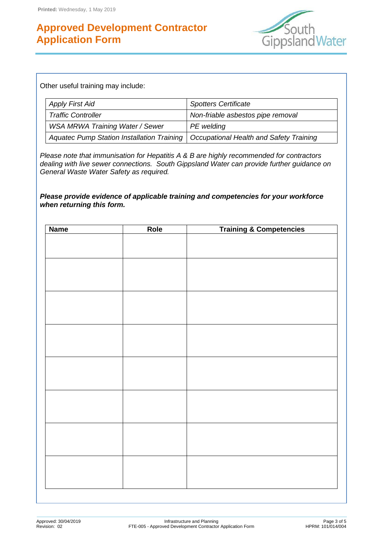

Other useful training may include:

| <b>Apply First Aid</b>                                                               | <b>Spotters Certificate</b>       |  |
|--------------------------------------------------------------------------------------|-----------------------------------|--|
| <b>Traffic Controller</b>                                                            | Non-friable asbestos pipe removal |  |
| <b>WSA MRWA Training Water / Sewer</b>                                               | PE welding                        |  |
| Aquatec Pump Station Installation Training   Occupational Health and Safety Training |                                   |  |

*Please note that immunisation for Hepatitis A & B are highly recommended for contractors dealing with live sewer connections. South Gippsland Water can provide further guidance on General Waste Water Safety as required.*

*Please provide evidence of applicable training and competencies for your workforce when returning this form.*

| <b>Name</b> | Role | <b>Training &amp; Competencies</b> |
|-------------|------|------------------------------------|
|             |      |                                    |
|             |      |                                    |
|             |      |                                    |
|             |      |                                    |
|             |      |                                    |
|             |      |                                    |
|             |      |                                    |
|             |      |                                    |
|             |      |                                    |
|             |      |                                    |
|             |      |                                    |
|             |      |                                    |
|             |      |                                    |
|             |      |                                    |
|             |      |                                    |
|             |      |                                    |
|             |      |                                    |
|             |      |                                    |
|             |      |                                    |
|             |      |                                    |
|             |      |                                    |
|             |      |                                    |
|             |      |                                    |
|             |      |                                    |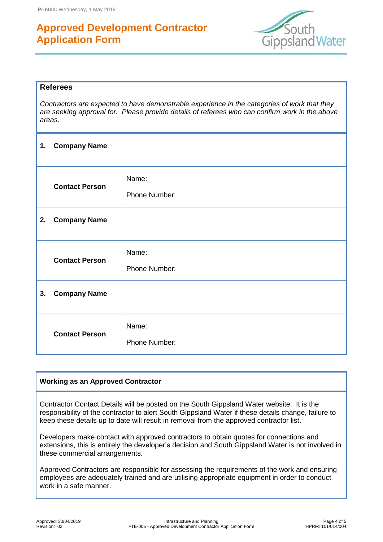

#### **Referees**

*Contractors are expected to have demonstrable experience in the categories of work that they are seeking approval for. Please provide details of referees who can confirm work in the above areas.*

| 1. | <b>Company Name</b>   |                        |
|----|-----------------------|------------------------|
|    | <b>Contact Person</b> | Name:<br>Phone Number: |
| 2. | <b>Company Name</b>   |                        |
|    | <b>Contact Person</b> | Name:<br>Phone Number: |
| 3. | <b>Company Name</b>   |                        |
|    | <b>Contact Person</b> | Name:<br>Phone Number: |

### **Working as an Approved Contractor**

Contractor Contact Details will be posted on the South Gippsland Water website. It is the responsibility of the contractor to alert South Gippsland Water if these details change, failure to keep these details up to date will result in removal from the approved contractor list.

Developers make contact with approved contractors to obtain quotes for connections and extensions, this is entirely the developer's decision and South Gippsland Water is not involved in these commercial arrangements.

Approved Contractors are responsible for assessing the requirements of the work and ensuring employees are adequately trained and are utilising appropriate equipment in order to conduct work in a safe manner.